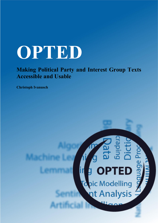## **OPTED**

**Making Political Party and Interest Group Texts Accessible and Usable**

**Christoph Ivanusch**

# **PTED** pic Modelling<br>nt Analysis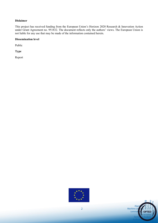#### **Dislaimer**

This project has received funding from the European Union's Horizon 2020 Research & Innovation Action under Grant Agreement no. 951832. The document reflects only the authors' views. The European Union is not liable for any use that may be made of the information contained herein.

#### **Dissemination level**

Public

**Type** 

Report



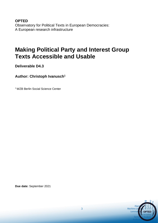**OPTED**  Observatory for Political Texts in European Democracies: A European research infrastructure

### **Making Political Party and Interest Group Texts Accessible and Usable**

**Deliverable D4.3**

### **Author: Christoph Ivanusch<sup>1</sup>**

<sup>1</sup> WZB Berlin Social Science Center

**Due date:** September 2021

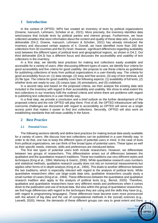#### **1 Introduction**

In the context of OPTED, WP4 has created an inventory of texts by political organizations (Greene, Ivanusch, Lehmann, Schober et al., 2021). More precisely, the inventory identifies data sets/corpora that include texts by political parties and interest groups. Furthermore, we have collected variables that store information about the content and quality of these data sets. A previous deliverable (D4.2; Greene, Ivanusch, Lehmann & Schober, 2021) has already introduced the inventory and discussed certain aspects of it. Overall, we have identified more than 200 text collections from 30 countries and the EU level. However, significant differences regarding availability exist between the different types of political texts and geographical regions, as shown in D4.2. Our third deliverable (D4.3) has a different focus and discusses the accessibility and usability of text collections in the inventory.

In a first step, we identify best practices for making text collections easily available and accessible for a variety of users. After discussing different types of users, we identify four criteria for good accessibility and five criteria for good usability. We propose to use these criteria as guidelines for publishing collections of texts from political organizations in a user-friendly way. The criteria for good accessibility focus on: (1) data storage, (2) easy and free access, (3) way of text retrieval, and (4) file type. The criteria for good usability cover the following aspects: (1) availability of full texts, (2) whether texts are ready-to-use, (3) corpus type, (4) annotations, and (5) codebook.

In a second step and based on the proposed criteria, we then analyse the existing data sets included in the inventory with regard to their accessibility and usability. We show to what extent the text collections in our inventory fulfil the outlined criteria and where there are problems with regard to publishing text collections in a user-friendly way.

In a final step, we provide a conclusion and a brief outlook on the further development of the proposed criteria and the role OPTED will play there. First of all, the OPTED infrastructure will help overcome challenges we discovered with regard to accessibility as OPTED will serve as a single access point that makes it easier to find text collections. Secondly, OPTED will also work on establishing standards that will ease usability in the future.

#### **2 Best Practice**

#### **2.1 Potential Users**

The following sections identify and define best practices for making textual data easily available for a variety of users. We discuss how text collections can be published in a user-friendly way. In order to do that, one has to keep the different types of potential users in mind. In the case of texts from political organizations, we can think of five broad types of potential users. These types as well as their specific needs, interests, skills and preferences are introduced below.

The first two types of potential users both include researchers. However, we differentiate between two groups of researchers. This differentiation arises out of differences between the qualitative and the quantitative research traditions. These two traditions use very different styles and techniques (King et al., 1994; Mahoney & Goertz, 2006). While quantitative research uses numbers and statistical methods, qualitative research usually does not rely on numerical measurements but applies other forms of in-depth analysis (King et al., 1994). This leads to another difference between the two traditions, which is especially relevant with regard to the analysis of political texts. While quantitative researchers often use large-scale data sets, qualitative researchers usually study a small number of cases (King et al., 1994). These differences between the quantitative and qualitative research tradition also apply to the analysis of political texts (e.g., Benoit, 2020). Therefore, qualitative and quantitative researchers have very different needs and preferences when it comes down to the publication and use of textual data. But also within the group of quantitative researchers, we find huge differences with regard to the techniques they are using and the skills they have (e.g., with regard to programming languages). These differences have become even more pronounced with the advent of big data and the use of computational methods in the (social) sciences (e.g., Leonelli, 2020). Hence, the demands of these different groups can vary to great extent and there

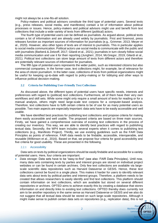might not always be a one-fits-all solution.

Policy-makers and political advisors constitute the third type of potential users. Several texts (e.g., press releases, social media, and manifestos) contain a lot of information about political processes or issues. Hence, policy-makers and political advisors might use and benefit from text collections that include a wide variety of texts from different (political) actors.

The fourth type of potential users can be defined as journalists. As argued above, political texts contain a lot of information and are already used widely by journalists. First and foremost, press releases function as important sources of information for journalists (e.g., Grimmer, 2013; Meyer et al., 2020). However, also other types of texts are of interest to journalists. This in particular applies to social media communication. Political actors use social media to communicate with the public and with journalists (Barberá & Zeitzoff, 2017; Gilardi et al., 2021); journalists in turn closely follow social media communication and use it for their reporting (Jungherr, 2014; McGregor, 2019; Gilardi et al., 2021). Political text collections can store large amount of texts from different actors and therefore are potentially relevant sources of information for journalists.

The fifth type of potential users represents the wider public, such as interested citizens but also commercial companies. In the former case, text collections might, for example, be of relevance for the area of citizen journalism. In the latter case, collections of texts from political organizations might be useful for keeping up-to-date with regard to policy-making or for lobbying and other ways to influence political decision-making.

#### **2.2 Criteria for Publishing User-Friendly Text Collections**

As discussed above, the different types of potential users have specific needs, interests and preferences with regard to (political) text collections. Furthermore, all of them have their very own workflows and skill sets. While some might only require a small amount of texts for reading or for a manual analysis, others might need large-scale text corpora for a computer-based analysis. Therefore, text collections have to fulfil certain criteria to be of use for as many potential users as possible. Two main aspects are especially important: data sets have to be easily accessible and well usable.

We have identified best practices for publishing text collections and propose criteria for making them easily accessible and well usable. The proposed criteria are based on three main sources. Firstly, we have gained a comprehensive overview of existing text collections in the process of creating our inventory. This way, we are able to identify best practices with regard to publishing textual data. Secondly, the WP4 team includes several experts when it comes to publishing text collections (e.g., Manifesto Project). Thirdly, we use existing guidelines such as the FAIR Data Principles as points of reference. FAIR data needs to be findable, accessible, interoperable, and reusable (Wilkinson et al., 2016). Based on that, we propose four criteria for good accessibility and five criteria for good usability. These are presented in the following.

#### 2.2.1 Accessibility

Data sets on texts by political organizations should be easily findable and accessible for a variety of potential users. Here, four criteria are important.

• *Data storage:* Data sets have to be "easy-to-find" (see also: FAIR Data Principles). Until now, many data sets containing texts by parties and interest groups are stored on individual project websites or can be found in certain archives. Only few text collections are available via largescale scientific data repositories such as Harvard Dataverse or GESIS. Hence, these text collections cannot be found in a single place. This makes it harder for users to identify relevant data sets about texts by political parties and interest groups. Therefore, a platform needs to be created that allows researchers to easily identify and find text collections. This platform should contain information on text collections, which are available but stored on several different repositories or archives. OPTED aims to achieve exactly this by creating a database that stores information on and directly links to existing text collections. OPTED thereby does currently not aim to be another repository in the same sense as Harvard Dataverse or GESIS and we also do not suggest that all textual data should be stored on such large-scale repositories. Although it might make sense to publish certain data sets on repositories (e.g., replication data), this is not

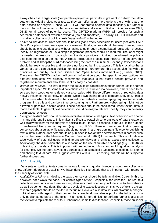always the case. Large-scale (comparative) projects in particular might want to publish their data sets on individual project websites, as they can offer users more options there with regard to data access or analysis. Hence, OPTED will not create another data repository but rather a platform that will make text collections more visible and easier to find and interlink (see D8.1, D8.2) for all types of potential users. The OPTED platform (WP9) will provide for such a searchable database of available text data (raw and annotated). This way, OPTED will do its part in making collections of political texts "easy-to-find" in the future.

- *Easy and free access:* Data sets should be easily and freely accessible for users (see also: FAIR Data Principles). Here, two aspects are relevant. Firstly, access should be easy. Hence, users should be able to use data sets without having to go through a complicated registration process. Ideally, no registration or just a simple registration process should be required. The latter might be needed for reasons of copyright, as the data providers might not be allowed to publicly distribute the texts on the internet. A simple registration process can, however, often solve this problem and still keep the hurdles for accessing the data at a minimum. Secondly, text collections should be freely accessible and therefore not located behind a paywall. This is crucial so that a variety of users can access political text collections. Furthermore, this aspect also fits with the principles laid out by the Open Science and Open Access movement (e.g., Suber, 2012). Therefore, the OPTED platform will contain information about the specific access options for different data sets. We strongly recommend that data is not stored behind paywalls and registration requirements should be kept as easy as possible.
- *Way of text retrieval:* The way in which the actual texts can be retrieved for further use is another important aspect. While some text collections can be retrieved via download, others need to be scraped from websites or retrieved via a so-called API. These different ways of retrieving data heavily influence the workflow of users. While downloading data is comparatively easy, this is not the case when texts need to be scraped from websites. Webscraping requires (advanced) programming skills and can be a time-consuming task. Furthermore, webscraping might not be allowed or possible in some cases. These aspects should be considered, when textual data is made available. In general, text collections should be easy to retrieve. Ideally, they can be easily downloaded by users.
- *File type:* Textual data should be made available in suitable file types. Text collections can come in many different file types. This makes it difficult to establish coherent ways of data storage as well as of workflows for the analysis of political texts. Hence, a consensus about a limited number of well-suited file types is required (e.g., .csv, .RDS). However, we argue that a growing consensus about suitable file types should not result in a single dominant file type for publishing textual data. Rather, data sets should be published in two or three certain formats in parallel such as it is the case for the Manifesto Corpus (Burst et al., 2021) for example. This would allow a wide variety of potential users with different workflows and skills to access text collections. Additionally, the discussion should also focus on the use of suitable encodings (e.g., UTF-8) for publishing textual data. This is important with regard to workflows and multilingual text analysis for example. We therefore advocate a consensus on suitable file types and encodings for storing and sharing textual data. We suggest .csv files with UTF-8 encoding, but this will be subject to further discussions.

#### 2.2.2 Usability

Data sets on political texts come in various forms and quality. Hence, existing text collections show different degrees of usability. We have identified five criteria that are important with regard to the usability of textual data.

• *Availability of full texts:* Ideally, the texts themselves should be fully available. Currently this is, however, not always the case. For certain types of text - especially for websites - no real text collections exist until now. Here, existing data sets most often only include links to the websites as well as some meta data. Therefore, developing text collections on this type of text is a clear research gap that should be tackled in the future. However, also data sets, which actually analyse political texts with regard to their content for example, do not always publish the full texts or do only publish some parts of the texts. This makes it more difficult to perform further analysis on the texts or to replicate the results. Furthermore, some text collections - especially those on social

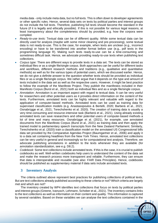media data - only include meta data, but no full texts. This is often down to developer agreements or other specific rules. Hence, several data sets on texts by political parties and interest groups do not include the full texts. Therefore, publishing full texts should become the standard in the future (if it is legally and ethically possible). If this is not possible for various legal reasons, at least transparency about the completeness should by provided, e.g. how the corpora were compiled.

- *Ready-to-use texts:* Textual data can be of different quality. While some textual data can be directly used for analysis (maybe with some minor cleaning and pre-processing), some textual data is not ready-to-use. This is the case, for example, when texts are unclean (e.g., incorrect encoding) or have to be transferred into another format before use (e.g., pdf texts in the programming language R). Making such texts ready-to-use can be a time-consuming and sometimes difficult task. Hence, we advocate providing ready-to-use texts when publishing text collections.
- *Corpus type:* There are different ways to provide texts in a data set. The texts can be stored as individual files or as a single file/single corpus. Both approaches can be useful for different tasks and workflows, different research methods and traditions (e.g., qualitative and quantitative methods) as well as for the various types of potential users, which we discussed earlier. Hence, we do not give a definite answer to the question whether texts should be provided as individual files or as a single file/single corpus. We rather argue that it depends on the type and amount of texts included in the data set as well as the respective users. However, it might be best practice to follow the example of the Manifesto Project. They publish the manifestos included in their Manifesto Corpus (Burst et al., 2021) both as individual files and as a single file/single corpus.
- *Annotation:* Annotation is an important aspect with regard to textual data. It can be very useful for researchers and other potential users as it provides direct information on the content of the texts. Furthermore, annotated texts can be highly relevant and valuable with regard to the application of computer-based methods. Annotated texts can be used as training data for supervised classification models (e.g. Anastasopoulos & Bertelli, 2020; Barberá et al., 2021; Osnabrügge et al., 2021; Terechshenko et al. 2020). The creation of training data is usually a very time-consuming and resource-intensive task (Barberá et al., 2021). Using already existing annotated texts can save researchers and other potential users of computer-based methods a lot of time and many resources. Osnabrügge et al. (2021), for example, use annotated documents from the Manifesto Corpus (Burst et al., 2021) as training data and then apply the trained model to parliamentary speech transcripts from the New Zealand Parliament. Similarly, Terechshenko et al. (2020) train a classification model on the annotated US Congressional bills data set provided by the Comparative Agendas Project (Baumgartner et al., 2006) and apply it to a data set containing headlines from the New York Times. Hence, annotated text collections can be very useful in general and increasingly so for computational text analysis. Therefore, we advocate publishing annotations in addition to the texts whenever they are available (for annotation standardization, see e.g. D8.2).
- *Codebook:* Some text collections include annotated texts. If this is the case, it is crucial to publish codebooks as well. Well-written codebooks help users to understand the content of the data set and make the research process more transparent and reliable. Furthermore, they can ensure that data is interoperable and reusable (see also: FAIR Data Principles). Hence, codebooks should be published as supplementary material if data sets include annotated texts.

#### **3 Inventory Analysis**

The criteria outlined above represent best practices for publishing collections of political texts. But are text collections already published according to these criteria or not? Which criteria are largely met and which are not?

The inventory created by WP4 identifies text collections that focus on texts by political parties and interest groups (Greene, Ivanusch, Lehmann, Schober et al., 2021). The inventory contains links to the text collections as well as information on their content and quality. This information is captured by several variables. Based on these variables we can analyse the text collections contained in the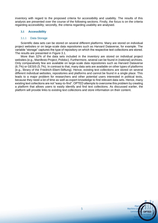inventory with regard to the proposed criteria for accessibility and usability. The results of this analysis are presented over the course of the following sections. Firstly, the focus is on the criteria regarding accessibility; secondly, the criteria regarding usability are analysed.

#### **3.1 Accessibility**

#### 3.1.1 Data Storage

Scientific data sets can be stored on several different platforms. Many are stored on individual project websites or on large-scale data repositories such as Harvard Dataverse, for example. The variable "storage" captures the type of repository on which the respective text collections are stored. The results are presented in Figure 3.1.

More than 32% of the data sets included in the inventory are stored on individual project websites (e.g., Manifesto Project, Polidoc). Furthermore, several can be found in (national) archives. Only comparatively few are available on large-scale data repositories such as Harvard Dataverse (6.7%) or GESIS (5.7%). In contrast to that, many data sets are available on other types of platforms (e.g., library of the Friedrich-Ebert-Stiftung). Hence, existing text collections are stored on several different individual websites, repositories and platforms and cannot be found in a single place. This leads to a major problem for researchers and other potential users interested in political texts, because they need a lot of time as well as expert knowledge to find relevant data sets. Hence, many existing text collections are not "easy-to-find". OPTED attempts to overcome this problem by creating a platform that allows users to easily identify and find text collections. As discussed earlier, the platform will provide links to existing text collections and store information on their content.

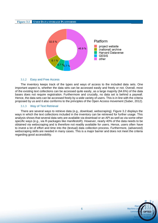#### **Figure 3.1 USED DATA STORAGE PLATFORMS**



#### 3.1.2 Easy and Free Access

The inventory keeps track of the types and ways of access to the included data sets. One important aspect is, whether the data sets can be accessed easily and freely or not. Overall, most of the existing text collections can be accessed quite easily, as a large majority (64.6%) of the data bases does not require registration. Furthermore and crucially, no data set is behind a paywall. Hence, the data sets can be accessed freely by a wide variety of users. This is in line with the criteria proposed by us and it also conforms to the principles of the Open Access movement (Suber, 2012).

#### 3.1.3 Way of Text Retrieval

There are several ways to retrieve data (e.g., download, webscraping). Figure 3.2 displays the ways in which the text collections included in the inventory can be retrieved for further usage. This analysis shows that several data sets are available via download or an API as well as via some other specific ways (e.g., via R-packages like manifestoR). However, nearly 40% of the data needs to be obtained via webscraping and is therefore not readily available for users. Hence, users often have to invest a lot of effort and time into the (textual) data collection process. Furthermore, (advanced) webscraping skills are needed in many cases. This is a major barrier and does not meet the criteria regarding good accessibility.

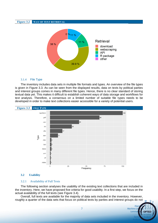#### **Figure 3.2 WAY OF TEXT RETRIEVAL** 0 % 11 % **Retrieval** 11 % 38 % download webscraping **API** R package other 39.9 %

#### 3.1.4 File Type

The inventory includes data sets in multiple file formats and types. An overview of the file types is given in Figure 3.3. As can be seen from the displayed results, data on texts by political parties and interest groups comes in many different file types. Hence, there is no clear standard of storing textual data yet. This makes it difficult to establish coherent ways of data storage and workflows for text analysis. Therefore, a consensus on a limited number of suitable file types needs to be developed in order to make text collections easier accessible for a variety of potential users.



#### **3.2 Usability**

#### 3.2.1 Availability of Full Texts

The following section analyses the usability of the existing text collections that are included in the inventory. Here, we have proposed five criteria for good usability. In a first step, we focus on the actual availability of the full texts (see Figure 3.4).

Overall, full texts are available for the majority of data sets included in the inventory. However, roughly a quarter of the data sets that focus on political texts by parties and interest groups do not

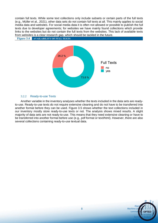contain full texts. While some text collections only include subsets or certain parts of the full texts (e.g., Müller et al., 2021), other data sets do not contain full texts at all. This mainly applies to social media data and websites. For social media data it is often not allowed or possible to publish the full texts due to developer agreements; for websites we have mainly found collections which provide links to the websites but do not contain the full texts from the websites. This lack of available texts from websites is a clear research gap, which should be tackled in the future.





#### 3.2.2 Ready-to-use Texts

Another variable in the inventory analyses whether the texts included in the data sets are readyto-use. Ready-to-use texts do not require extensive cleaning and do not have to be transferred into another format before they can be used. Figure 3.5 shows whether the text collections included in our inventory mostly store ready-to-use texts or not. The analysis shows mixed results. A slight majority of data sets are not ready-to-use. This means that they need extensive cleaning or have to be transferred into another format before use (e.g., pdf format or text/html). However, there are also several collections containing ready-to-use textual data.

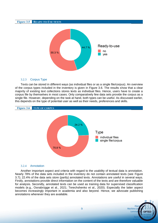

#### 3.2.3 Corpus Type

Texts can be stored in different ways (as individual files or as a single file/corpus). An overview of the corpus types included in the inventory is given in Figure 3.6. The results show that a clear majority of existing text collections stores texts as individual files. Hence, users have to create a corpus file by themselves in most cases. Only comparatively few data sets provide the corpus as a single file. However, depending on the task at hand, both types can be useful. As discussed earlier, this depends on the type of potential user as well as their needs, preferences and skills.



#### 3.2.4 Annotation

Another important aspect and criteria with regard to the usability of textual data is annotation. Nearly 78% of the data sets included in the inventory do not contain annotated texts (see Figure 3.7); 22.4% of the data sets store (partly) annotated texts. Annotations are useful in several ways. Firstly, annotations provide direct information on the content of the texts and are therefore valuable for analysis. Secondly, annotated texts can be used as training data for supervised classification models (e.g., Osnabrügge et al., 2021; Terechshenko et al., 2020). Especially the latter aspect becomes increasingly important in academia and also beyond. Hence, we advocate publishing annotations whenever they are available.

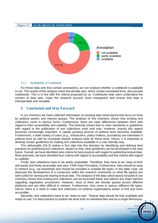#### **Figure 3.7 AVAILABILITY OF ANNOTATION**



#### 3.2.5 Availability of Codebook

For those data sets that contain annotations, we can analyse whether a codebook is available or not. The results of this analysis show that all data sets, which contain annotated texts, also provide codebooks. This is in line with the criteria proposed by us. Codebooks help users understand the content of data sets, make the research process more transparent and ensure that data is interoperable and reusable.

#### **4 Conclusion and Way Forward**

In our inventory we have collected information on existing data sets/corpora that focus on texts by political parties and interest groups. The analysis of this inventory shows that existing text collections come in various forms. Furthermore, there are clear differences between them with regard to their accessibility and usability. This diversity shows that no clear standards or guidelines with regard to the publication of text collections exist until now. However, exactly this aspect becomes increasingly important. A rapidly growing amount of political texts becomes available. Furthermore, a wide variety of users (e.g., researchers, policy-makers, journalists) are interested in political texts as well as (computer-based) analysis tools for these texts. Hence, it is important to develop certain guidelines for making text collections available in a user-friendly way.

This deliverable (D4.3) makes a first step into this direction by identifying and defining best practices for publishing text collections. Based on that, clear guidelines can be developed in the near future. Overall, we have identified nine criteria for best practice with regard to publishing textual data. More precisely, we have identified four criteria with regard to accessibility and five criteria with regard to usability.

Firstly, text collections have to be easily accessible. Therefore, they have to be "easy-to-find" and easily and freely accessible (see also: FAIR Data Principles). Furthermore, they should be easy to retrieve (e.g., via download) and should be provided in suitable file types. In the latter case, we advocate the development of a consensus within the research community on what file type(s) are well-suited for storing and sharing textual data. The analysis of the data sets/corpora included in our inventory shows that existing text collections can be accessed freely and without any major barriers regarding registration procedures. However, most of them are heavily spread across different platforms and are often difficult to retrieve. Furthermore, they come in various different file types. Hence, there is a need to make text collections on political organizations easier to find and more accessible.

Secondly, text collections have to be "easy-to-use". Textual data should be fully available and ready-to-use. It is best practice to publish the texts both as individual files and as a single file/corpus.

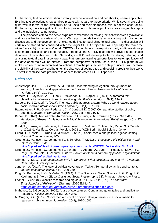Furthermore, text collections should ideally include annotation and codebooks, where applicable. Existing text collections show a mixed picture with regard to these criteria. While several are doing quite well in terms of the availability of full texts and their cleanness, this is not the case for all. Furthermore, there is significant room for improvement in terms of publication as a single file/corpus and the inclusion of annotations.

The proposed criteria can serve as points of reference for making text collections easily available and accessible for a variety of users. We regard our deliverable as a starting point for further discussions and the development of clear guidelines for publishing textual data. This discussion will certainly be started and continued within the larger OPTED project, but will hopefully also reach the wider (research) community. Overall, OPTED will contribute to make political party and interest group texts more accessible and better usable. First of all, the OPTED platform will provide a searchable database of available text data. Secondly, OPTED will develop tools for storing, sharing and analysing textual data in a coherent way. Furthermore, training opportunities to foster application of the developed tools will be offered. From the perspective of data users, the OPTED platform will make it easier to find relevant text collections. From the perspective of data producers it will increase the visibility of their work and heighten the chances of getting cited and receiving credit for their work. This will incentivise data producers to adhere to the criteria OPTED specifies.

#### **References**

- Anastasopoulos, L. J., & Bertelli, A. M. (2020). Understanding delegation through machine learning: A method and application to the European Union. *American Political Science Review*, 114(1), 291-301.
- Barberá, P., Boydstun, A. E., Linn, S., McMahon, R., & Nagler, J. (2021). Automated text classification of news articles: A practical guide. *Political Analysis*, 29(1), 19-42.
- Barberá, P., & Zeitzoff, T. (2017). The new public address system: Why do world leaders adopt social media? *International Studies Quarterly*, 62(1), 121–130.
- Baumgartner. F. R., Green-Pedersen, C., & Jones, B.D. (2006) Comparative studies of policy agendas. *Journal of European Public Policy*, 13(7), 959-974.
- Benoit, K. (2020). Text as data: An overview. In L. Curini, & R. Franzese (Eds.)*, The SAGE Handbook of Research Methods in Political Science and International Relations (pp. 461-497).* Sage.
- Burst, T., Krause, W., Lehmann, P., Lewandowski, J., Matthieß, T., Merz, N., Regel, S. & Zehnter, L. (2021a). Manifesto Corpus. Version: 2021-1. WZB Berlin Social Science Center.
- Gilardi, F., Gessler, T., Kubli, M., & Müller, S. (2021). Social media and political agenda setting. *Political Communication*, 1-22.
- Greene, Z., Ivanusch, C., Lehmann, P., & Schober, T. (2021). *A Repository of Political Party and Interest Group Texts*.

[https://opted.eu/fileadmin/user\\_upload/p\\_compcommlab/OPTED\\_Deliverable\\_D4.2.pdf.](https://opted.eu/fileadmin/user_upload/p_compcommlab/OPTED_Deliverable_D4.2.pdf)

- Greene, Z., Ivanusch, C., Lehmann, P., Schober, T., Alberto, A., Burst, T., Hutter, S., Klüver, H., Regel, S., Weßels, B., Zehnter, L. (2021). *Inventory for text corpora by political organizations*. [https://opted.eu/results/inventories/.](https://opted.eu/results/inventories/)
- Grimmer, J. (2013). *Representational style in Congress: What legislators say and why it matters*. Cambridge University Press.
- Jungherr, A. (2014). The logic of political coverage on Twitter: Temporal dynamics and content. *Journal of communication*, 64(2), 239-259.
- King, G., Keohane, R. O., & Verba, S. (1994). 1. The Science in Social Science. In G. King, R. O. Keohane, & S. Verba (Eds.), *Designing Social Inquiry* (pp. 1-33). Princeton University Press.

Leonelli, S. (2020). Scientific research and big data. In E. N. Zalta (Ed.) *The Stanford Encyclopedia of Philosophy* (Summer 2020 Edition). [https://plato.stanford.edu/archives/sum2020/entries/science-big-data.](https://plato.stanford.edu/archives/sum2020/entries/science-big-data)

Mahoney, J., & Goertz, G. (2006). A tale of two cultures: Contrasting quantitative and qualitative research. *Political analysis*, 14(3), 227-249.

McGregor, S. C. (2019). Social media as public opinion: How journalists use social media to represent public opinion. *Journalism*, 20(8), 1070-1086.